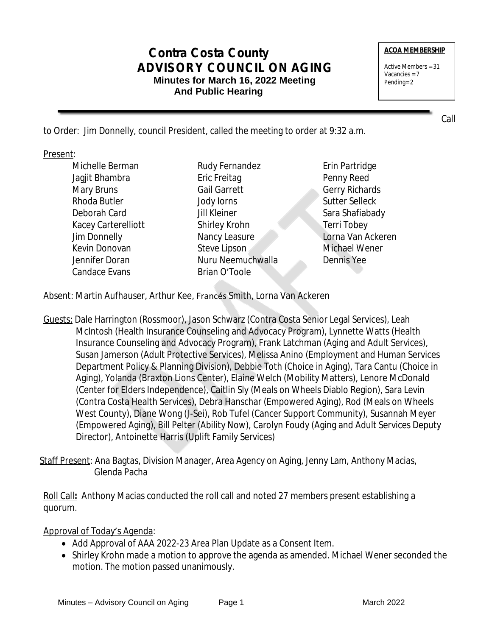# **Contra Costa County ADVISORY COUNCIL ON AGING Minutes for March 16, 2022 Meeting And Public Hearing**

#### **ACOA MEMBERSHIP**

Active Members = 31 Vacancies = 7 Pending= 2

Call

to Order: Jim Donnelly, council President, called the meeting to order at 9:32 a.m.

#### Present:

- Michelle Berman Jagjit Bhambra Mary Bruns Rhoda Butler Deborah Card Kacey Carterelliott Jim Donnelly Kevin Donovan Jennifer Doran Candace Evans
- Rudy Fernandez Eric Freitag Gail Garrett Jody Iorns Jill Kleiner Shirley Krohn Nancy Leasure Steve Lipson Nuru Neemuchwalla Brian O'Toole
- Erin Partridge Penny Reed Gerry Richards Sutter Selleck Sara Shafiabady Terri Tobey Lorna Van Ackeren Michael Wener Dennis Yee

Absent: Martin Aufhauser, Arthur Kee, Francés Smith, Lorna Van Ackeren

Guests: Dale Harrington (Rossmoor), Jason Schwarz (Contra Costa Senior Legal Services), Leah McIntosh (Health Insurance Counseling and Advocacy Program), Lynnette Watts (Health Insurance Counseling and Advocacy Program), Frank Latchman (Aging and Adult Services), Susan Jamerson (Adult Protective Services), Melissa Anino (Employment and Human Services Department Policy & Planning Division), Debbie Toth (Choice in Aging), Tara Cantu (Choice in Aging), Yolanda (Braxton Lions Center), Elaine Welch (Mobility Matters), Lenore McDonald (Center for Elders Independence), Caitlin Sly (Meals on Wheels Diablo Region), Sara Levin (Contra Costa Health Services), Debra Hanschar (Empowered Aging), Rod (Meals on Wheels West County), Diane Wong (J-Sei), Rob Tufel (Cancer Support Community), Susannah Meyer (Empowered Aging), Bill Pelter (Ability Now), Carolyn Foudy (Aging and Adult Services Deputy Director), Antoinette Harris (Uplift Family Services)

Staff Present: Ana Bagtas, Division Manager, Area Agency on Aging, Jenny Lam, Anthony Macias, Glenda Pacha

Roll Call**:** Anthony Macias conducted the roll call and noted 27 members present establishing a quorum.

Approval of Today's Agenda:

- Add Approval of AAA 2022-23 Area Plan Update as a Consent Item.
- Shirley Krohn made a motion to approve the agenda as amended. Michael Wener seconded the motion. The motion passed unanimously.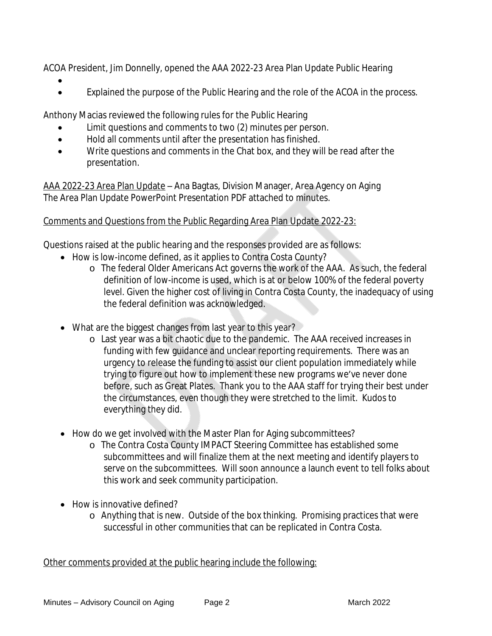ACOA President, Jim Donnelly, opened the AAA 2022-23 Area Plan Update Public Hearing

- $\bullet$
- Explained the purpose of the Public Hearing and the role of the ACOA in the process.

Anthony Macias reviewed the following rules for the Public Hearing

- Limit questions and comments to two (2) minutes per person.
- Hold all comments until after the presentation has finished.
- Write questions and comments in the Chat box, and they will be read after the presentation.

AAA 2022-23 Area Plan Update – Ana Bagtas, Division Manager, Area Agency on Aging The Area Plan Update PowerPoint Presentation PDF attached to minutes.

### Comments and Questions from the Public Regarding Area Plan Update 2022-23:

Questions raised at the public hearing and the responses provided are as follows:

- How is low-income defined, as it applies to Contra Costa County?
	- o The federal Older Americans Act governs the work of the AAA. As such, the federal definition of low-income is used, which is at or below 100% of the federal poverty level. Given the higher cost of living in Contra Costa County, the inadequacy of using the federal definition was acknowledged.
- What are the biggest changes from last year to this year?
	- o Last year was a bit chaotic due to the pandemic. The AAA received increases in funding with few guidance and unclear reporting requirements. There was an urgency to release the funding to assist our client population immediately while trying to figure out how to implement these new programs we've never done before, such as Great Plates. Thank you to the AAA staff for trying their best under the circumstances, even though they were stretched to the limit. Kudos to everything they did.
- How do we get involved with the Master Plan for Aging subcommittees?
	- o The Contra Costa County IMPACT Steering Committee has established some subcommittees and will finalize them at the next meeting and identify players to serve on the subcommittees. Will soon announce a launch event to tell folks about this work and seek community participation.
- How is innovative defined?
	- o Anything that is new. Outside of the box thinking. Promising practices that were successful in other communities that can be replicated in Contra Costa.

Other comments provided at the public hearing include the following: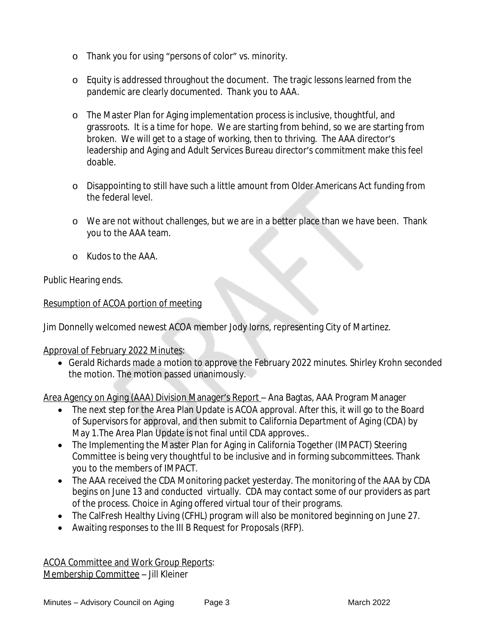- o Thank you for using "persons of color" vs. minority.
- o Equity is addressed throughout the document. The tragic lessons learned from the pandemic are clearly documented. Thank you to AAA.
- o The Master Plan for Aging implementation process is inclusive, thoughtful, and grassroots. It is a time for hope. We are starting from behind, so we are starting from broken. We will get to a stage of working, then to thriving. The AAA director's leadership and Aging and Adult Services Bureau director's commitment make this feel doable.
- o Disappointing to still have such a little amount from Older Americans Act funding from the federal level.
- o We are not without challenges, but we are in a better place than we have been. Thank you to the AAA team.
- o Kudos to the AAA.

Public Hearing ends.

## Resumption of ACOA portion of meeting

Jim Donnelly welcomed newest ACOA member Jody Iorns, representing City of Martinez.

Approval of February 2022 Minutes:

 Gerald Richards made a motion to approve the February 2022 minutes. Shirley Krohn seconded the motion. The motion passed unanimously.

Area Agency on Aging (AAA) Division Manager's Report – Ana Bagtas, AAA Program Manager

- The next step for the Area Plan Update is ACOA approval. After this, it will go to the Board of Supervisors for approval, and then submit to California Department of Aging (CDA) by May 1.The Area Plan Update is not final until CDA approves..
- The Implementing the Master Plan for Aging in California Together (IMPACT) Steering Committee is being very thoughtful to be inclusive and in forming subcommittees. Thank you to the members of IMPACT.
- The AAA received the CDA Monitoring packet yesterday. The monitoring of the AAA by CDA begins on June 13 and conducted virtually. CDA may contact some of our providers as part of the process. Choice in Aging offered virtual tour of their programs.
- The CalFresh Healthy Living (CFHL) program will also be monitored beginning on June 27.
- Awaiting responses to the III B Request for Proposals (RFP).

ACOA Committee and Work Group Reports: Membership Committee – Jill Kleiner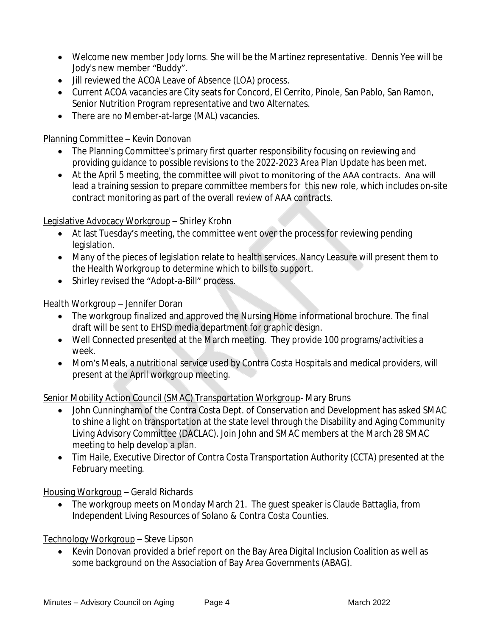- Welcome new member Jody Iorns. She will be the Martinez representative. Dennis Yee will be Jody's new member "Buddy".
- $\bullet$  Jill reviewed the ACOA Leave of Absence (LOA) process.
- Current ACOA vacancies are City seats for Concord, El Cerrito, Pinole, San Pablo, San Ramon, Senior Nutrition Program representative and two Alternates.
- There are no Member-at-large (MAL) vacancies.

Planning Committee – Kevin Donovan

- The Planning Committee's primary first quarter responsibility focusing on reviewing and providing guidance to possible revisions to the 2022-2023 Area Plan Update has been met.
- At the April 5 meeting, the committee will pivot to monitoring of the AAA contracts. Ana will lead a training session to prepare committee members for this new role, which includes on-site contract monitoring as part of the overall review of AAA contracts.

Legislative Advocacy Workgroup – Shirley Krohn

- At last Tuesday's meeting, the committee went over the process for reviewing pending legislation.
- Many of the pieces of legislation relate to health services. Nancy Leasure will present them to the Health Workgroup to determine which to bills to support.
- Shirley revised the "Adopt-a-Bill" process.

Health Workgroup – Jennifer Doran

- The workgroup finalized and approved the Nursing Home informational brochure. The final draft will be sent to EHSD media department for graphic design.
- Well Connected presented at the March meeting. They provide 100 programs/activities a week.
- Mom's Meals, a nutritional service used by Contra Costa Hospitals and medical providers, will present at the April workgroup meeting.

Senior Mobility Action Council (SMAC) Transportation Workgroup- Mary Bruns

- John Cunningham of the Contra Costa Dept. of Conservation and Development has asked SMAC to shine a light on transportation at the state level through the Disability and Aging Community Living Advisory Committee (DACLAC). Join John and SMAC members at the March 28 SMAC meeting to help develop a plan.
- Tim Haile, Executive Director of Contra Costa Transportation Authority (CCTA) presented at the February meeting.

Housing Workgroup – Gerald Richards

 The workgroup meets on Monday March 21. The guest speaker is Claude Battaglia, from Independent Living Resources of Solano & Contra Costa Counties.

Technology Workgroup – Steve Lipson

• Kevin Donovan provided a brief report on the Bay Area Digital Inclusion Coalition as well as some background on the Association of Bay Area Governments (ABAG).